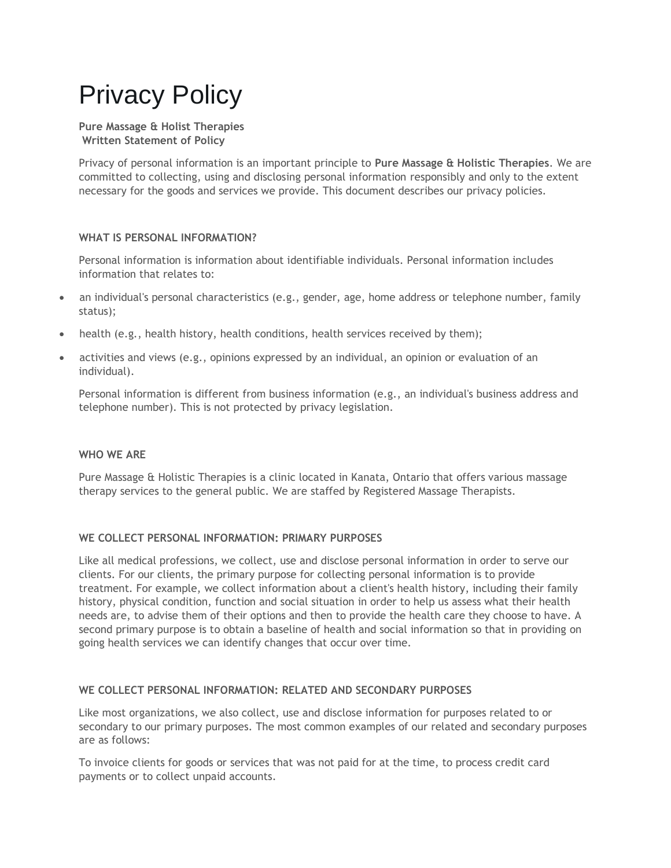# Privacy Policy

#### **Pure Massage & Holist Therapies Written Statement of Policy**

Privacy of personal information is an important principle to **Pure Massage & Holistic Therapies**. We are committed to collecting, using and disclosing personal information responsibly and only to the extent necessary for the goods and services we provide. This document describes our privacy policies.

# **WHAT IS PERSONAL INFORMATION?**

Personal information is information about identifiable individuals. Personal information includes information that relates to:

- an individual's personal characteristics (e.g., gender, age, home address or telephone number, family status);
- health (e.g., health history, health conditions, health services received by them);
- activities and views (e.g., opinions expressed by an individual, an opinion or evaluation of an individual).

Personal information is different from business information (e.g., an individual's business address and telephone number). This is not protected by privacy legislation.

## **WHO WE ARE**

Pure Massage & Holistic Therapies is a clinic located in Kanata, Ontario that offers various massage therapy services to the general public. We are staffed by Registered Massage Therapists.

## **WE COLLECT PERSONAL INFORMATION: PRIMARY PURPOSES**

Like all medical professions, we collect, use and disclose personal information in order to serve our clients. For our clients, the primary purpose for collecting personal information is to provide treatment. For example, we collect information about a client's health history, including their family history, physical condition, function and social situation in order to help us assess what their health needs are, to advise them of their options and then to provide the health care they choose to have. A second primary purpose is to obtain a baseline of health and social information so that in providing on going health services we can identify changes that occur over time.

## **WE COLLECT PERSONAL INFORMATION: RELATED AND SECONDARY PURPOSES**

Like most organizations, we also collect, use and disclose information for purposes related to or secondary to our primary purposes. The most common examples of our related and secondary purposes are as follows:

To invoice clients for goods or services that was not paid for at the time, to process credit card payments or to collect unpaid accounts.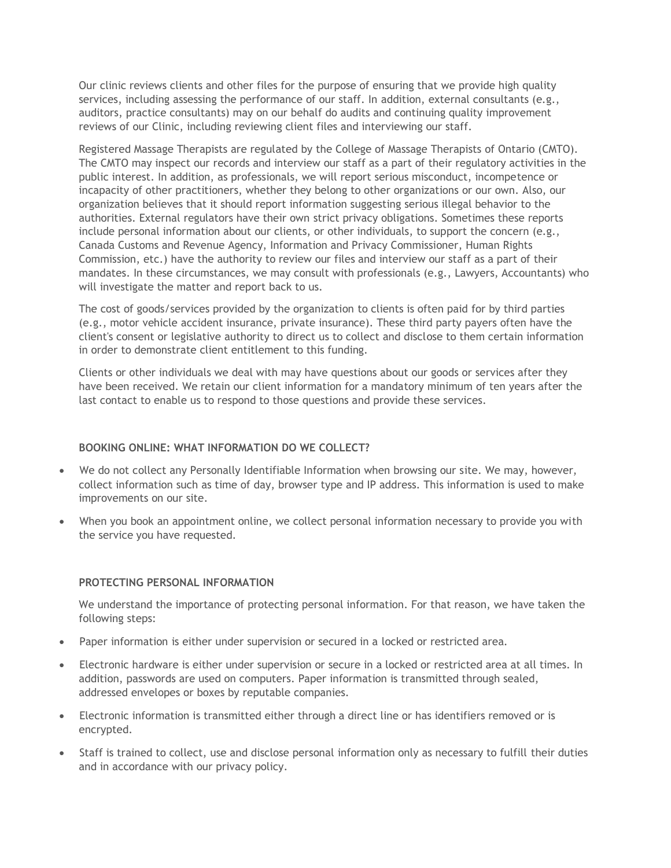Our clinic reviews clients and other files for the purpose of ensuring that we provide high quality services, including assessing the performance of our staff. In addition, external consultants (e.g., auditors, practice consultants) may on our behalf do audits and continuing quality improvement reviews of our Clinic, including reviewing client files and interviewing our staff.

Registered Massage Therapists are regulated by the College of Massage Therapists of Ontario (CMTO). The CMTO may inspect our records and interview our staff as a part of their regulatory activities in the public interest. In addition, as professionals, we will report serious misconduct, incompetence or incapacity of other practitioners, whether they belong to other organizations or our own. Also, our organization believes that it should report information suggesting serious illegal behavior to the authorities. External regulators have their own strict privacy obligations. Sometimes these reports include personal information about our clients, or other individuals, to support the concern (e.g., Canada Customs and Revenue Agency, Information and Privacy Commissioner, Human Rights Commission, etc.) have the authority to review our files and interview our staff as a part of their mandates. In these circumstances, we may consult with professionals (e.g., Lawyers, Accountants) who will investigate the matter and report back to us.

The cost of goods/services provided by the organization to clients is often paid for by third parties (e.g., motor vehicle accident insurance, private insurance). These third party payers often have the client's consent or legislative authority to direct us to collect and disclose to them certain information in order to demonstrate client entitlement to this funding.

Clients or other individuals we deal with may have questions about our goods or services after they have been received. We retain our client information for a mandatory minimum of ten years after the last contact to enable us to respond to those questions and provide these services.

## **BOOKING ONLINE: WHAT INFORMATION DO WE COLLECT?**

- We do not collect any Personally Identifiable Information when browsing our site. We may, however, collect information such as time of day, browser type and IP address. This information is used to make improvements on our site.
- When you book an appointment online, we collect personal information necessary to provide you with the service you have requested.

#### **PROTECTING PERSONAL INFORMATION**

We understand the importance of protecting personal information. For that reason, we have taken the following steps:

- Paper information is either under supervision or secured in a locked or restricted area.
- Electronic hardware is either under supervision or secure in a locked or restricted area at all times. In addition, passwords are used on computers. Paper information is transmitted through sealed, addressed envelopes or boxes by reputable companies.
- Electronic information is transmitted either through a direct line or has identifiers removed or is encrypted.
- Staff is trained to collect, use and disclose personal information only as necessary to fulfill their duties and in accordance with our privacy policy.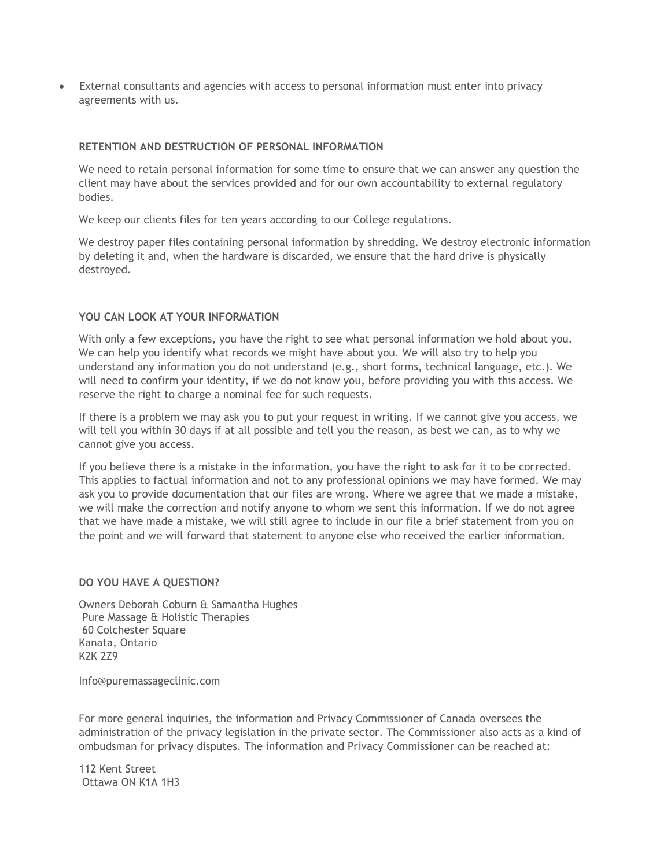• External consultants and agencies with access to personal information must enter into privacy agreements with us.

#### **RETENTION AND DESTRUCTION OF PERSONAL INFORMATION**

We need to retain personal information for some time to ensure that we can answer any question the client may have about the services provided and for our own accountability to external regulatory bodies.

We keep our clients files for ten years according to our College regulations.

We destroy paper files containing personal information by shredding. We destroy electronic information by deleting it and, when the hardware is discarded, we ensure that the hard drive is physically destroyed.

# **YOU CAN LOOK AT YOUR INFORMATION**

With only a few exceptions, you have the right to see what personal information we hold about you. We can help you identify what records we might have about you. We will also try to help you understand any information you do not understand (e.g., short forms, technical language, etc.). We will need to confirm your identity, if we do not know you, before providing you with this access. We reserve the right to charge a nominal fee for such requests.

If there is a problem we may ask you to put your request in writing. If we cannot give you access, we will tell you within 30 days if at all possible and tell you the reason, as best we can, as to why we cannot give you access.

If you believe there is a mistake in the information, you have the right to ask for it to be corrected. This applies to factual information and not to any professional opinions we may have formed. We may ask you to provide documentation that our files are wrong. Where we agree that we made a mistake, we will make the correction and notify anyone to whom we sent this information. If we do not agree that we have made a mistake, we will still agree to include in our file a brief statement from you on the point and we will forward that statement to anyone else who received the earlier information.

#### **DO YOU HAVE A QUESTION?**

Owners Deborah Coburn & Samantha Hughes Pure Massage & Holistic Therapies 60 Colchester Square Kanata, Ontario K2K 2Z9

Info@puremassageclinic.com

For more general inquiries, the information and Privacy Commissioner of Canada oversees the administration of the privacy legislation in the private sector. The Commissioner also acts as a kind of ombudsman for privacy disputes. The information and Privacy Commissioner can be reached at:

112 Kent Street Ottawa ON K1A 1H3